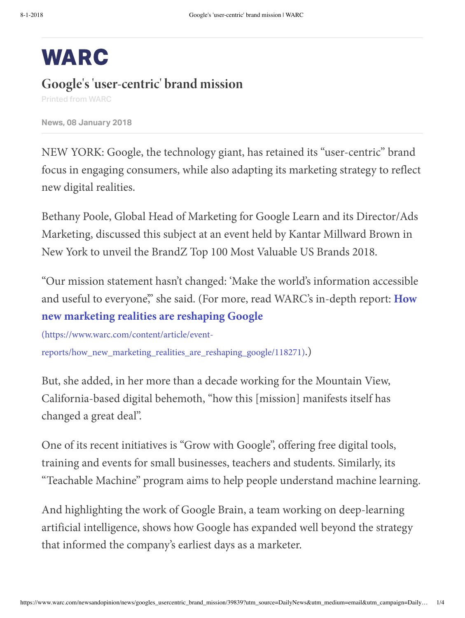# **WARC**

# **Google's'user-centric' brand mission**

Printed from WARC

**New, 08 Januar 2018**

NEW YORK: Google, the technology giant, has retained its "user-centric" brand focus in engaging consumers, while also adapting its marketing strategy to reflect new digital realities.

Bethany Poole, Global Head of Marketing for Google Learn and its Director/Ads Marketing, discussed this subject at an event held by Kantar Millward Brown in New York to unveil the BrandZ Top 100 Most Valuable US Brands 2018.

"Our mission statement hasn't changed: 'Make the world's information accessible and useful to everyone," she said. (For more, read WARC's in-depth report: **How new marketing realities are reshaping Google**

(https://www.warc.com/content/article/event[reports/how\\_new\\_marketing\\_realities\\_are\\_reshaping\\_google/118271\)](https://www.warc.com/content/article/event-reports/how_new_marketing_realities_are_reshaping_google/118271).)

But, she added, in her more than a decade working for the Mountain View, California-based digital behemoth, "how this [mission] manifests itself has changed a great deal".

One of its recent initiatives is "Grow with Google", offering free digital tools, training and events for small businesses, teachers and students. Similarly, its "Teachable Machine" program aims to help people understand machine learning.

And highlighting the work of Google Brain, a team working on deep-learning artificial intelligence, shows how Google has expanded well beyond the strategy that informed the company's earliest days as a marketer.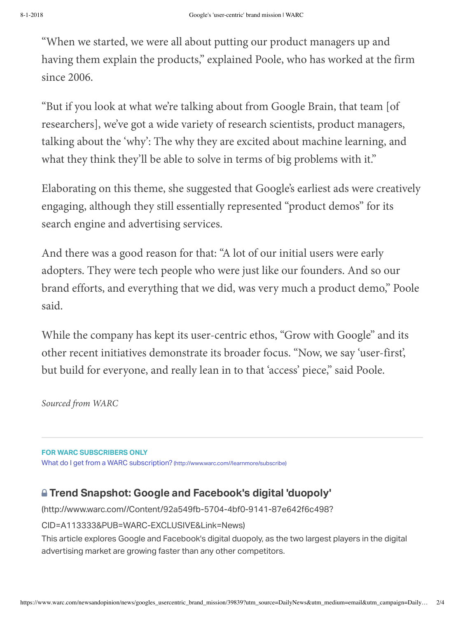"When we started, we were all about putting our product managers up and having them explain the products," explained Poole, who has worked at the firm since 2006.

"But if you look at what we're talking about from Google Brain, that team [of researchers], we've got a wide variety of research scientists, product managers, talking about the 'why': The why they are excited about machine learning, and what they think they'll be able to solve in terms of big problems with it."

Elaborating on this theme, she suggested that Google's earliest ads were creatively engaging, although they still essentially represented "product demos" for its search engine and advertising services.

And there was a good reason for that: "A lot of our initial users were early adopters. They were tech people who were just like our founders. And so our brand efforts, and everything that we did, was very much a product demo," Poole said.

While the company has kept its user-centric ethos, "Grow with Google" and its other recent initiatives demonstrate its broader focus. "Now, we say 'user-first', but build for everyone, and really lean in to that 'access' piece," said Poole.

Sourced from WARC

**FOR WARC SUBSCRIBERS ONLY** What do I get from a WARC subscription? (http://www.warc.com//learnmore/subscribe)

## **Trend naphot: Google and Faceook' digital 'duopol'**

(http://www.warc.com//Content/92a549fb-5704-4bf0-9141-87e642f6c498?

## CID=A113333&PUB=WARC-EXCLUSIVE&Link=News)

This article explores Google and Facebook's digital duopoly, as the two largest players in the digital advertising market are growing faster than any other competitors.